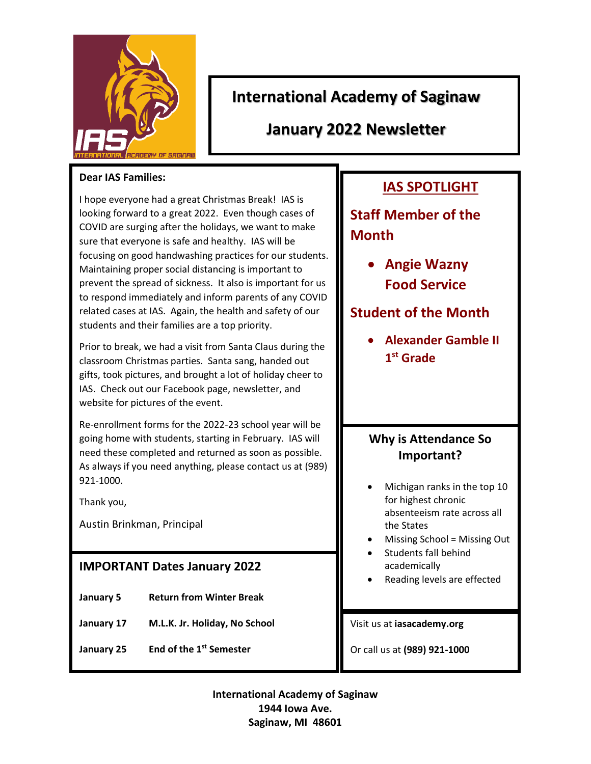

## **International Academy of Saginaw**

**January 2022 Newsletter**

#### **Dear IAS Families:**

I hope everyone had a great Christmas Break! IAS is looking forward to a great 2022. Even though cases of COVID are surging after the holidays, we want to make sure that everyone is safe and healthy. IAS will be focusing on good handwashing practices for our students. Maintaining proper social distancing is important to prevent the spread of sickness. It also is important for us to respond immediately and inform parents of any COVID related cases at IAS. Again, the health and safety of our students and their families are a top priority.

Prior to break, we had a visit from Santa Claus during the classroom Christmas parties. Santa sang, handed out gifts, took pictures, and brought a lot of holiday cheer to IAS. Check out our Facebook page, newsletter, and website for pictures of the event.

Re-enrollment forms for the 2022-23 school year will be going home with students, starting in February. IAS will need these completed and returned as soon as possible. As always if you need anything, please contact us at (989) 921-1000.

Thank you,

Austin Brinkman, Principal

### **IMPORTANT Dates January 2022**

- **January 5 Return from Winter Break**
- **January 17 M.L.K. Jr. Holiday, No School**
- **January 25 End of the 1st Semester**

# **IAS SPOTLIGHT**

**Staff Member of the Month**

> **Angie Wazny Food Service**

## **Student of the Month**

 **Alexander Gamble II 1 st Grade** 

## **Why is Attendance So Important?**

- Michigan ranks in the top 10 for highest chronic absenteeism rate across all the States
- Missing School = Missing Out
- Students fall behind academically
- Reading levels are effected

Visit us at **iasacademy.org**

Or call us at **(989) 921-1000**

**International Academy of Saginaw 1944 Iowa Ave. Saginaw, MI 48601**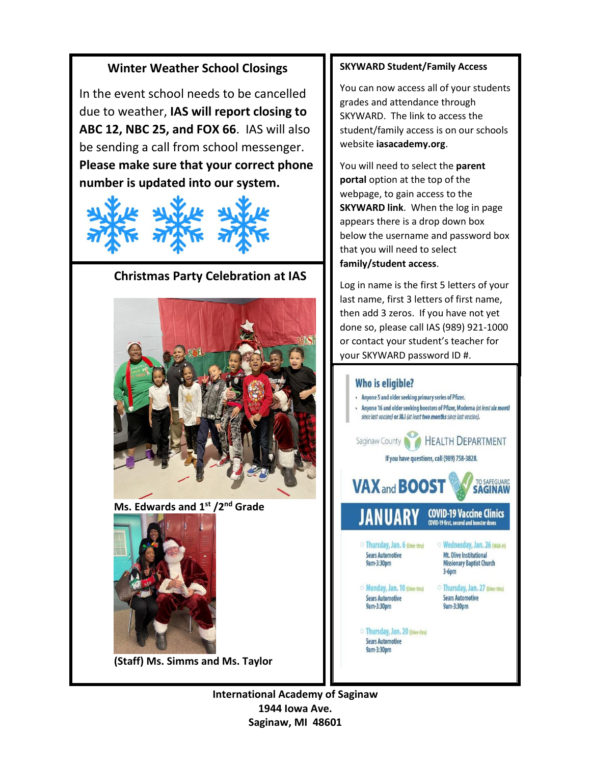#### **Winter Weather School Closings**

In the event school needs to be cancelled due to weather, **IAS will report closing to ABC 12, NBC 25, and FOX 66**. IAS will also be sending a call from school messenger. **Please make sure that your correct phone number is updated into our system.**



#### **Christmas Party Celebration at IAS**



**Ms. Edwards and 1st /2nd Grade** 



**(Staff) Ms. Simms and Ms. Taylor**

#### **SKYWARD Student/Family Access**

You can now access all of your students grades and attendance through SKYWARD. The link to access the student/family access is on our schools website **iasacademy.org**.

You will need to select the **parent portal** option at the top of the webpage, to gain access to the **SKYWARD link**. When the log in page appears there is a drop down box below the username and password box that you will need to select **family/student access**.

Log in name is the first 5 letters of your last name, first 3 letters of first name, then add 3 zeros. If you have not yet done so, please call IAS (989) 921-1000 or contact your student's teacher for your SKYWARD password ID #.



**International Academy of Saginaw 1944 Iowa Ave. Saginaw, MI 48601**